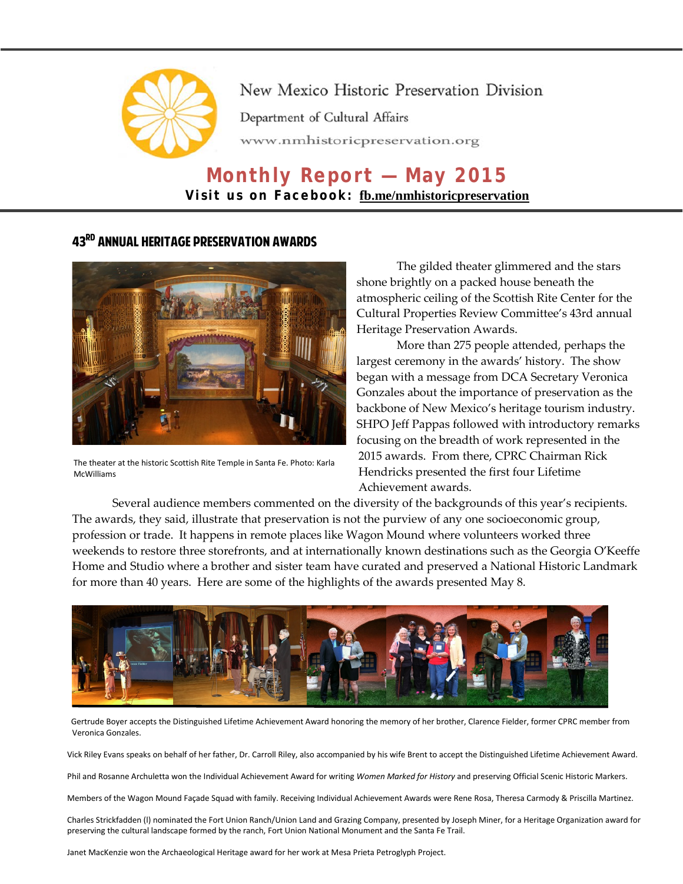

## New Mexico Historic Preservation Division

Department of Cultural Affairs

www.nmhistoricpreservation.org

# **Monthly Report — May 2015 Visit us on Facebook: [fb.me/nmhistoricpreservation](https://www.facebook.com/nmhistoricpreservation)**

### 43rd Annual Heritage Preservation Awards



The theater at the historic Scottish Rite Temple in Santa Fe. Photo: Karla McWilliams

The gilded theater glimmered and the stars shone brightly on a packed house beneath the atmospheric ceiling of the Scottish Rite Center for the Cultural Properties Review Committee's 43rd annual Heritage Preservation Awards.

More than 275 people attended, perhaps the largest ceremony in the awards' history. The show began with a message from DCA Secretary Veronica Gonzales about the importance of preservation as the backbone of New Mexico's heritage tourism industry. SHPO Jeff Pappas followed with introductory remarks focusing on the breadth of work represented in the 2015 awards. From there, CPRC Chairman Rick Hendricks presented the first four Lifetime Achievement awards.

Several audience members commented on the diversity of the backgrounds of this year's recipients. The awards, they said, illustrate that preservation is not the purview of any one socioeconomic group, profession or trade. It happens in remote places like Wagon Mound where volunteers worked three weekends to restore three storefronts, and at internationally known destinations such as the Georgia O'Keeffe Home and Studio where a brother and sister team have curated and preserved a National Historic Landmark for more than 40 years. Here are some of the highlights of the awards presented May 8.



Gertrude Boyer accepts the Distinguished Lifetime Achievement Award honoring the memory of her brother, Clarence Fielder, former CPRC member from Veronica Gonzales.

Vick Riley Evans speaks on behalf of her father, Dr. Carroll Riley, also accompanied by his wife Brent to accept the Distinguished Lifetime Achievement Award.

Phil and Rosanne Archuletta won the Individual Achievement Award for writing *Women Marked for History* and preserving Official Scenic Historic Markers.

Members of the Wagon Mound Façade Squad with family. Receiving Individual Achievement Awards were Rene Rosa, Theresa Carmody & Priscilla Martinez.

Charles Strickfadden (l) nominated the Fort Union Ranch/Union Land and Grazing Company, presented by Joseph Miner, for a Heritage Organization award for preserving the cultural landscape formed by the ranch, Fort Union National Monument and the Santa Fe Trail.

Janet MacKenzie won the Archaeological Heritage award for her work at Mesa Prieta Petroglyph Project.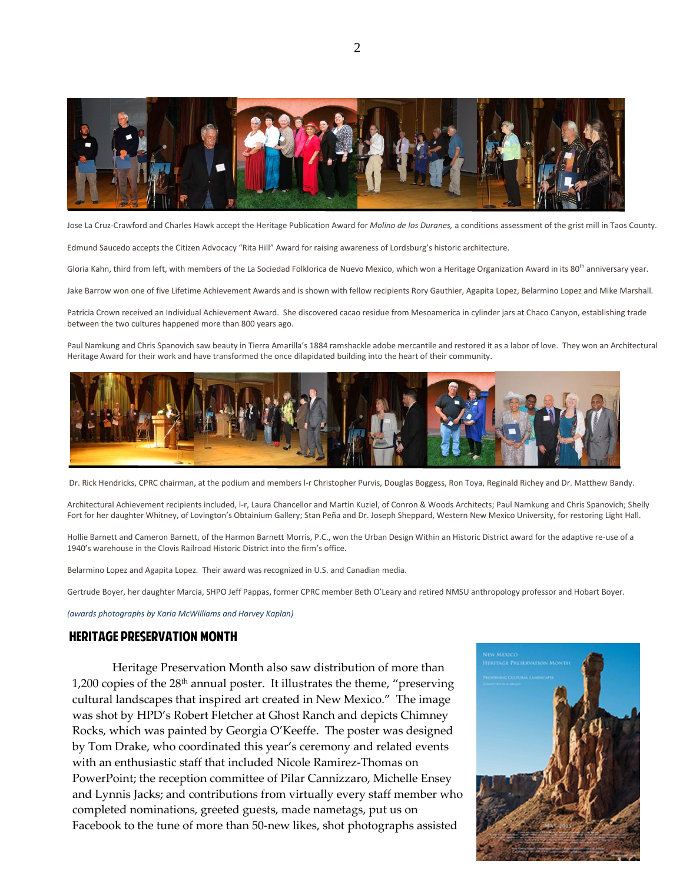

Jose La Cruz-Crawford and Charles Hawk accept the Heritage Publication Award for *Molino de los Duranes,* a conditions assessment of the grist mill in Taos County.

Edmund Saucedo accepts the Citizen Advocacy "Rita Hill" Award for raising awareness of Lordsburg's historic architecture.

Gloria Kahn, third from left, with members of the La Sociedad Folklorica de Nuevo Mexico, which won a Heritage Organization Award in its 80<sup>th</sup> anniversary year.

Jake Barrow won one of five Lifetime Achievement Awards and is shown with fellow recipients Rory Gauthier, Agapita Lopez, Belarmino Lopez and Mike Marshall.

Patricia Crown received an Individual Achievement Award. She discovered cacao residue from Mesoamerica in cylinder jars at Chaco Canyon, establishing trade between the two cultures happened more than 800 years ago.

Paul Namkung and Chris Spanovich saw beauty in Tierra Amarilla's 1884 ramshackle adobe mercantile and restored it as a labor of love. They won an Architectural Heritage Award for their work and have transformed the once dilapidated building into the heart of their community.



Dr. Rick Hendricks, CPRC chairman, at the podium and members l-r Christopher Purvis, Douglas Boggess, Ron Toya, Reginald Richey and Dr. Matthew Bandy.

Architectural Achievement recipients included, l-r, Laura Chancellor and Martin Kuziel, of Conron & Woods Architects; Paul Namkung and Chris Spanovich; Shelly Fort for her daughter Whitney, of Lovington's Obtainium Gallery; Stan Peña and Dr. Joseph Sheppard, Western New Mexico University, for restoring Light Hall.

Hollie Barnett and Cameron Barnett, of the Harmon Barnett Morris, P.C., won the Urban Design Within an Historic District award for the adaptive re-use of a 1940's warehouse in the Clovis Railroad Historic District into the firm's office.

Belarmino Lopez and Agapita Lopez. Their award was recognized in U.S. and Canadian media.

Gertrude Boyer, her daughter Marcia, SHPO Jeff Pappas, former CPRC member Beth O'Leary and retired NMSU anthropology professor and Hobart Boyer.

*(awards photographs by Karla McWilliams and Harvey Kaplan)*

#### Heritage Preservation Month

Heritage Preservation Month also saw distribution of more than 1,200 copies of the 28<sup>th</sup> annual poster. It illustrates the theme, "preserving cultural landscapes that inspired art created in New Mexico." The image was shot by HPD's Robert Fletcher at Ghost Ranch and depicts Chimney Rocks, which was painted by Georgia O'Keeffe. The poster was designed by Tom Drake, who coordinated this year's ceremony and related events with an enthusiastic staff that included Nicole Ramirez-Thomas on PowerPoint; the reception committee of Pilar Cannizzaro, Michelle Ensey and Lynnis Jacks; and contributions from virtually every staff member who completed nominations, greeted guests, made nametags, put us on Facebook to the tune of more than 50-new likes, shot photographs assisted

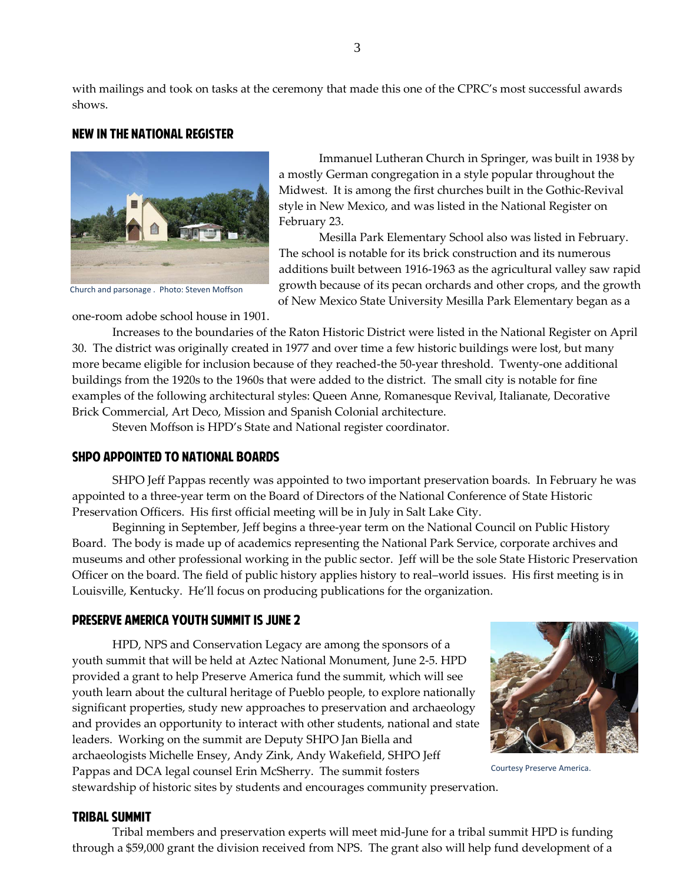with mailings and took on tasks at the ceremony that made this one of the CPRC's most successful awards shows.

#### New in the national Register



Church and parsonage . Photo: Steven Moffson

Immanuel Lutheran Church in Springer, was built in 1938 by a mostly German congregation in a style popular throughout the Midwest. It is among the first churches built in the Gothic-Revival style in New Mexico, and was listed in the National Register on February 23.

Mesilla Park Elementary School also was listed in February. The school is notable for its brick construction and its numerous additions built between 1916-1963 as the agricultural valley saw rapid growth because of its pecan orchards and other crops, and the growth of New Mexico State University Mesilla Park Elementary began as a

one-room adobe school house in 1901.

Increases to the boundaries of the Raton Historic District were listed in the National Register on April 30. The district was originally created in 1977 and over time a few historic buildings were lost, but many more became eligible for inclusion because of they reached-the 50-year threshold. Twenty-one additional buildings from the 1920s to the 1960s that were added to the district. The small city is notable for fine examples of the following architectural styles: Queen Anne, Romanesque Revival, Italianate, Decorative Brick Commercial, Art Deco, Mission and Spanish Colonial architecture.

Steven Moffson is HPD's State and National register coordinator.

#### SHPO AppointED to National Boards

SHPO Jeff Pappas recently was appointed to two important preservation boards. In February he was appointed to a three-year term on the Board of Directors of the National Conference of State Historic Preservation Officers. His first official meeting will be in July in Salt Lake City.

Beginning in September, Jeff begins a three-year term on the National Council on Public History Board. The body is made up of academics representing the National Park Service, corporate archives and museums and other professional working in the public sector. Jeff will be the sole State Historic Preservation Officer on the board. The field of public history applies history to real–world issues. His first meeting is in Louisville, Kentucky. He'll focus on producing publications for the organization.

#### Preserve America Youth Summit is June 2

HPD, NPS and Conservation Legacy are among the sponsors of a youth summit that will be held at Aztec National Monument, June 2-5. HPD provided a grant to help Preserve America fund the summit, which will see youth learn about the cultural heritage of Pueblo people, to explore nationally significant properties, study new approaches to preservation and archaeology and provides an opportunity to interact with other students, national and state leaders. Working on the summit are Deputy SHPO Jan Biella and archaeologists Michelle Ensey, Andy Zink, Andy Wakefield, SHPO Jeff Pappas and DCA legal counsel Erin McSherry. The summit fosters stewardship of historic sites by students and encourages community preservation.



Courtesy Preserve America.

#### Tribal Summit

Tribal members and preservation experts will meet mid-June for a tribal summit HPD is funding through a \$59,000 grant the division received from NPS. The grant also will help fund development of a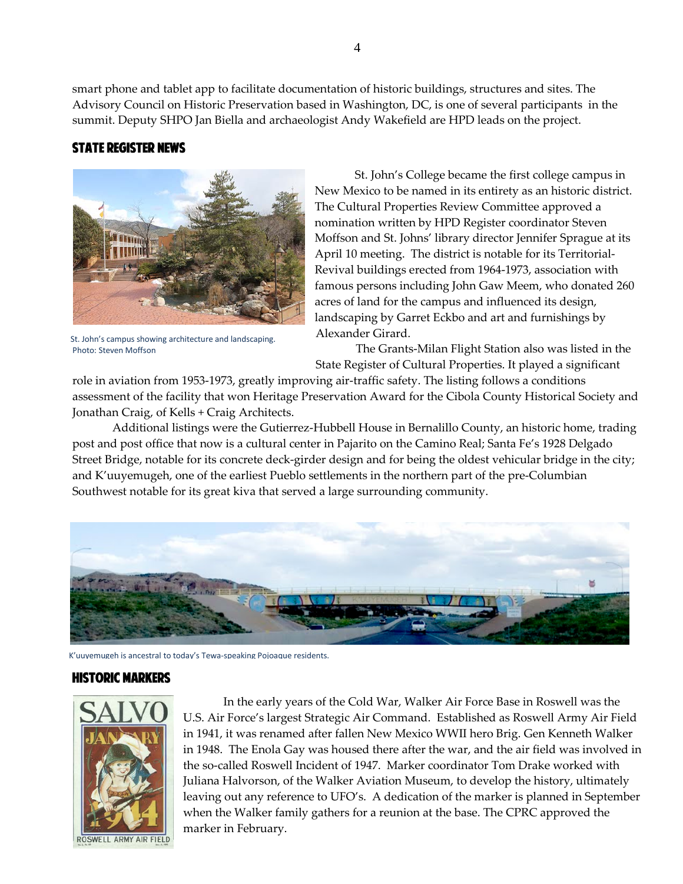smart phone and tablet app to facilitate documentation of historic buildings, structures and sites. The Advisory Council on Historic Preservation based in Washington, DC, is one of several participants in the

summit. Deputy SHPO Jan Biella and archaeologist Andy Wakefield are HPD leads on the project.

#### State Register News



St. John's campus showing architecture and landscaping. Photo: Steven Moffson

St. John's College became the first college campus in New Mexico to be named in its entirety as an historic district. The Cultural Properties Review Committee approved a nomination written by HPD Register coordinator Steven Moffson and St. Johns' library director Jennifer Sprague at its April 10 meeting. The district is notable for its Territorial-Revival buildings erected from 1964-1973, association with famous persons including John Gaw Meem, who donated 260 acres of land for the campus and influenced its design, landscaping by Garret Eckbo and art and furnishings by Alexander Girard.

The Grants-Milan Flight Station also was listed in the State Register of Cultural Properties. It played a significant

role in aviation from 1953-1973, greatly improving air-traffic safety. The listing follows a conditions assessment of the facility that won Heritage Preservation Award for the Cibola County Historical Society and Jonathan Craig, of Kells + Craig Architects.

Additional listings were the Gutierrez-Hubbell House in Bernalillo County, an historic home, trading post and post office that now is a cultural center in Pajarito on the Camino Real; Santa Fe's 1928 Delgado Street Bridge, notable for its concrete deck-girder design and for being the oldest vehicular bridge in the city; and K'uuyemugeh, one of the earliest Pueblo settlements in the northern part of the pre-Columbian Southwest notable for its great kiva that served a large surrounding community.



K'uuyemugeh is ancestral to today's Tewa-speaking Pojoaque residents.

#### Historic markers



 In the early years of the Cold War, Walker Air Force Base in Roswell was the U.S. Air Force's largest Strategic Air Command. Established as Roswell Army Air Field in 1941, it was renamed after fallen New Mexico WWII hero Brig. Gen Kenneth Walker in 1948. The Enola Gay was housed there after the war, and the air field was involved in the so-called Roswell Incident of 1947. Marker coordinator Tom Drake worked with Juliana Halvorson, of the Walker Aviation Museum, to develop the history, ultimately leaving out any reference to UFO's. A dedication of the marker is planned in September when the Walker family gathers for a reunion at the base. The CPRC approved the marker in February.